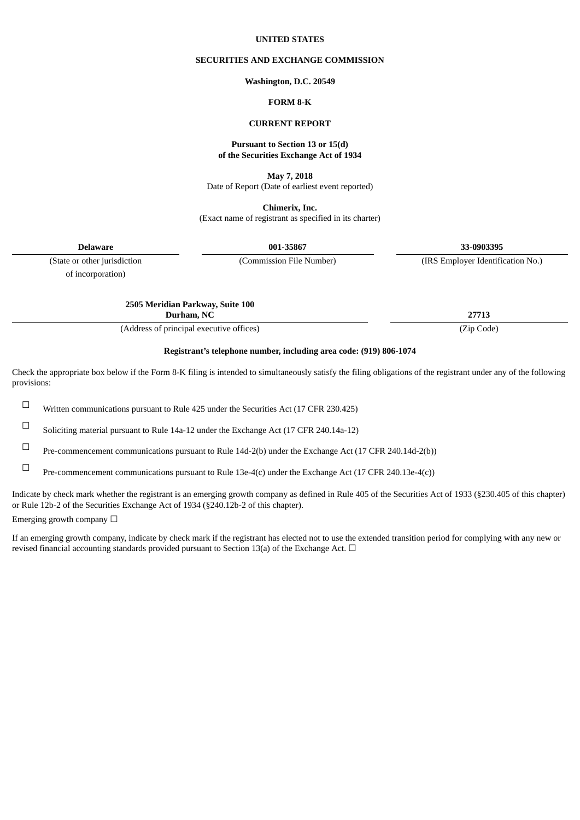### **UNITED STATES**

## **SECURITIES AND EXCHANGE COMMISSION**

#### **Washington, D.C. 20549**

## **FORM 8-K**

## **CURRENT REPORT**

### **Pursuant to Section 13 or 15(d) of the Securities Exchange Act of 1934**

**May 7, 2018**

Date of Report (Date of earliest event reported)

**Chimerix, Inc.** (Exact name of registrant as specified in its charter)

**Delaware 001-35867 33-0903395**

of incorporation)

(State or other jurisdiction (Commission File Number) (IRS Employer Identification No.)

**2505 Meridian Parkway, Suite 100**

**Durham, NC 27713**

(Address of principal executive offices) (Zip Code)

## **Registrant's telephone number, including area code: (919) 806-1074**

Check the appropriate box below if the Form 8-K filing is intended to simultaneously satisfy the filing obligations of the registrant under any of the following provisions:

☐ Written communications pursuant to Rule <sup>425</sup> under the Securities Act (17 CFR 230.425)

☐ Soliciting material pursuant to Rule 14a-12 under the Exchange Act (17 CFR 240.14a-12)

☐ Pre-commencement communications pursuant to Rule 14d-2(b) under the Exchange Act (17 CFR 240.14d-2(b))

☐ Pre-commencement communications pursuant to Rule 13e-4(c) under the Exchange Act (17 CFR 240.13e-4(c))

Indicate by check mark whether the registrant is an emerging growth company as defined in Rule 405 of the Securities Act of 1933 (§230.405 of this chapter) or Rule 12b-2 of the Securities Exchange Act of 1934 (§240.12b-2 of this chapter).

Emerging growth company  $\Box$ 

If an emerging growth company, indicate by check mark if the registrant has elected not to use the extended transition period for complying with any new or revised financial accounting standards provided pursuant to Section 13(a) of the Exchange Act.  $\Box$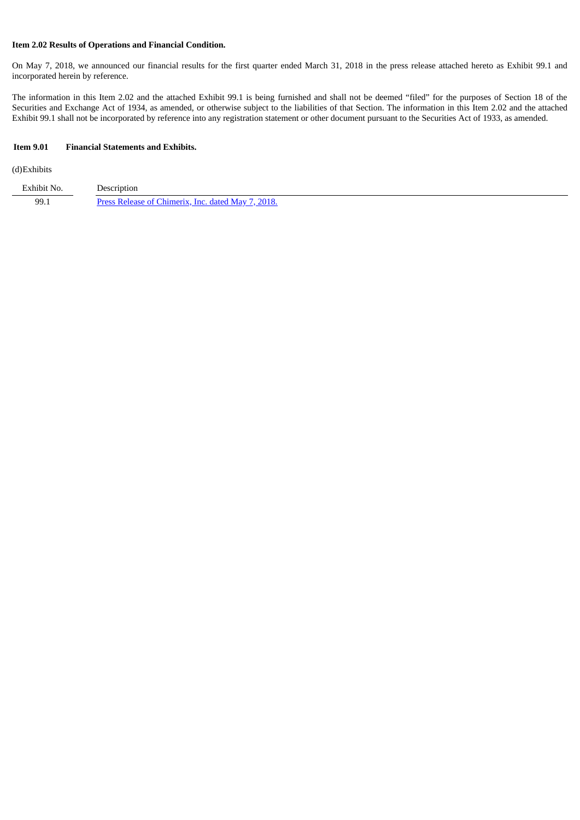## **Item 2.02 Results of Operations and Financial Condition.**

On May 7, 2018, we announced our financial results for the first quarter ended March 31, 2018 in the press release attached hereto as Exhibit 99.1 and incorporated herein by reference.

The information in this Item 2.02 and the attached Exhibit 99.1 is being furnished and shall not be deemed "filed" for the purposes of Section 18 of the Securities and Exchange Act of 1934, as amended, or otherwise subject to the liabilities of that Section. The information in this Item 2.02 and the attached Exhibit 99.1 shall not be incorporated by reference into any registration statement or other document pursuant to the Securities Act of 1933, as amended.

### **Item 9.01 Financial Statements and Exhibits.**

(d)Exhibits

| Exhibit No. | Jescription                                        |
|-------------|----------------------------------------------------|
| 99.1        | Press Release of Chimerix, Inc. dated May 7, 2018. |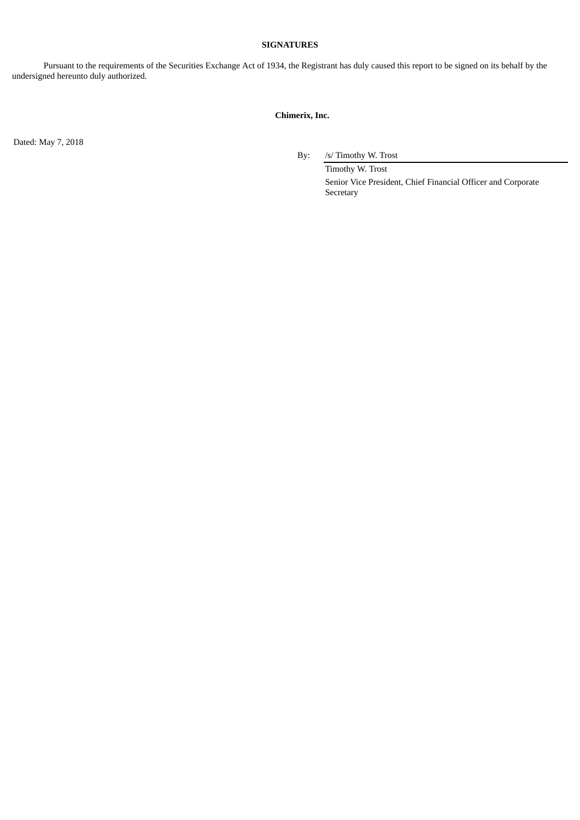## **SIGNATURES**

Pursuant to the requirements of the Securities Exchange Act of 1934, the Registrant has duly caused this report to be signed on its behalf by the undersigned hereunto duly authorized.

# **Chimerix, Inc.**

Dated: May 7, 2018

By: /s/ Timothy W. Trost

Timothy W. Trost Senior Vice President, Chief Financial Officer and Corporate Secretary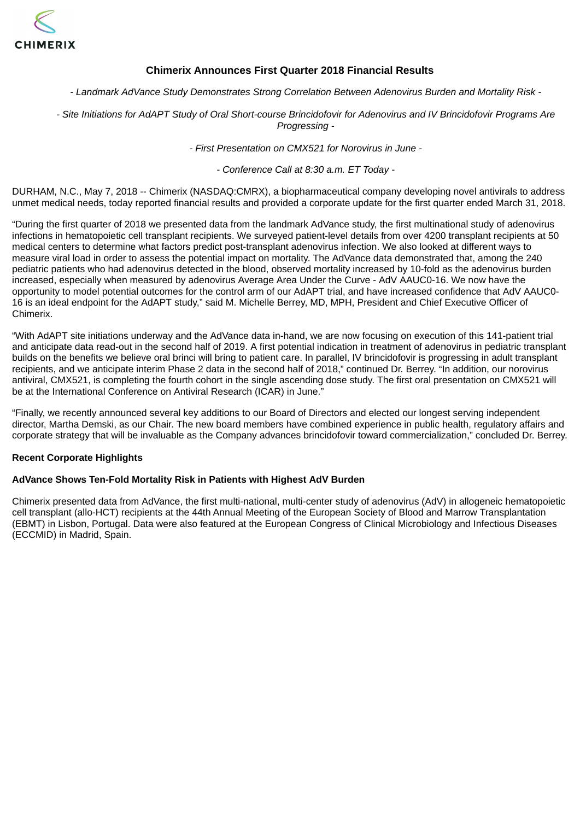<span id="page-3-0"></span>

# **Chimerix Announces First Quarter 2018 Financial Results**

*- Landmark AdVance Study Demonstrates Strong Correlation Between Adenovirus Burden and Mortality Risk -*

- Site Initiations for AdAPT Study of Oral Short-course Brincidofovir for Adenovirus and IV Brincidofovir Programs Are *Progressing -*

*- First Presentation on CMX521 for Norovirus in June -*

*- Conference Call at 8:30 a.m. ET Today -*

DURHAM, N.C., May 7, 2018 -- Chimerix (NASDAQ:CMRX), a biopharmaceutical company developing novel antivirals to address unmet medical needs, today reported financial results and provided a corporate update for the first quarter ended March 31, 2018.

"During the first quarter of 2018 we presented data from the landmark AdVance study, the first multinational study of adenovirus infections in hematopoietic cell transplant recipients. We surveyed patient-level details from over 4200 transplant recipients at 50 medical centers to determine what factors predict post-transplant adenovirus infection. We also looked at different ways to measure viral load in order to assess the potential impact on mortality. The AdVance data demonstrated that, among the 240 pediatric patients who had adenovirus detected in the blood, observed mortality increased by 10-fold as the adenovirus burden increased, especially when measured by adenovirus Average Area Under the Curve - AdV AAUC0-16. We now have the opportunity to model potential outcomes for the control arm of our AdAPT trial, and have increased confidence that AdV AAUC0- 16 is an ideal endpoint for the AdAPT study," said M. Michelle Berrey, MD, MPH, President and Chief Executive Officer of Chimerix.

"With AdAPT site initiations underway and the AdVance data in-hand, we are now focusing on execution of this 141-patient trial and anticipate data read-out in the second half of 2019. A first potential indication in treatment of adenovirus in pediatric transplant builds on the benefits we believe oral brinci will bring to patient care. In parallel, IV brincidofovir is progressing in adult transplant recipients, and we anticipate interim Phase 2 data in the second half of 2018," continued Dr. Berrey. "In addition, our norovirus antiviral, CMX521, is completing the fourth cohort in the single ascending dose study. The first oral presentation on CMX521 will be at the International Conference on Antiviral Research (ICAR) in June."

"Finally, we recently announced several key additions to our Board of Directors and elected our longest serving independent director, Martha Demski, as our Chair. The new board members have combined experience in public health, regulatory affairs and corporate strategy that will be invaluable as the Company advances brincidofovir toward commercialization," concluded Dr. Berrey.

## **Recent Corporate Highlights**

## **AdVance Shows Ten-Fold Mortality Risk in Patients with Highest AdV Burden**

Chimerix presented data from AdVance, the first multi-national, multi-center study of adenovirus (AdV) in allogeneic hematopoietic cell transplant (allo-HCT) recipients at the 44th Annual Meeting of the European Society of Blood and Marrow Transplantation (EBMT) in Lisbon, Portugal. Data were also featured at the European Congress of Clinical Microbiology and Infectious Diseases (ECCMID) in Madrid, Spain.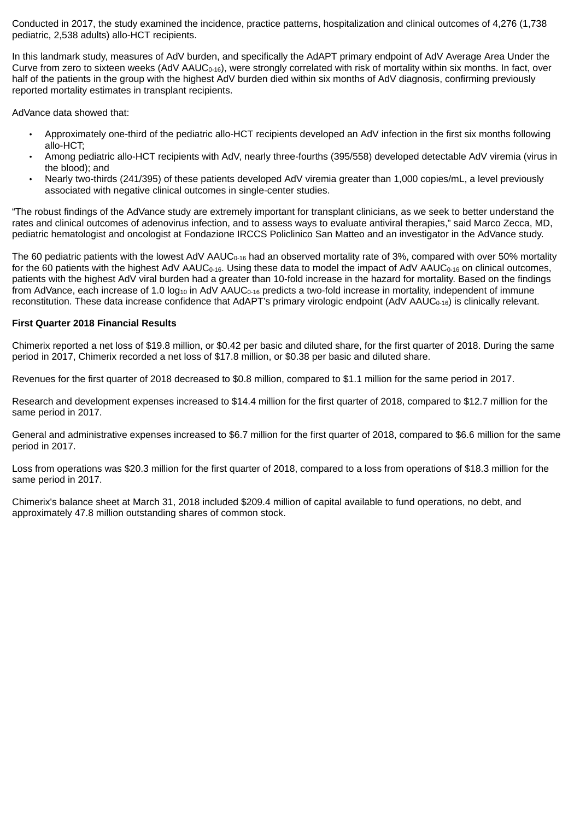Conducted in 2017, the study examined the incidence, practice patterns, hospitalization and clinical outcomes of 4,276 (1,738 pediatric, 2,538 adults) allo-HCT recipients.

In this landmark study, measures of AdV burden, and specifically the AdAPT primary endpoint of AdV Average Area Under the Curve from zero to sixteen weeks (AdV  $AAUC_{0.16}$ ), were strongly correlated with risk of mortality within six months. In fact, over half of the patients in the group with the highest AdV burden died within six months of AdV diagnosis, confirming previously reported mortality estimates in transplant recipients.

AdVance data showed that:

- Approximately one-third of the pediatric allo-HCT recipients developed an AdV infection in the first six months following allo-HCT;
- Among pediatric allo-HCT recipients with AdV, nearly three-fourths (395/558) developed detectable AdV viremia (virus in the blood); and
- Nearly two-thirds (241/395) of these patients developed AdV viremia greater than 1,000 copies/mL, a level previously associated with negative clinical outcomes in single-center studies.

"The robust findings of the AdVance study are extremely important for transplant clinicians, as we seek to better understand the rates and clinical outcomes of adenovirus infection, and to assess ways to evaluate antiviral therapies," said Marco Zecca, MD, pediatric hematologist and oncologist at Fondazione IRCCS Policlinico San Matteo and an investigator in the AdVance study.

The 60 pediatric patients with the lowest AdV AAUC<sub>0-16</sub> had an observed mortality rate of 3%, compared with over 50% mortality for the 60 patients with the highest AdV AAUC<sub>0-16</sub>. Using these data to model the impact of AdV AAUC<sub>0-16</sub> on clinical outcomes, patients with the highest AdV viral burden had a greater than 10-fold increase in the hazard for mortality. Based on the findings from AdVance, each increase of 1.0  $log_{10}$  in AdV AAUC<sub>0-16</sub> predicts a two-fold increase in mortality, independent of immune reconstitution. These data increase confidence that AdAPT's primary virologic endpoint (AdV AAUC<sub>0-16</sub>) is clinically relevant.

# **First Quarter 2018 Financial Results**

Chimerix reported a net loss of \$19.8 million, or \$0.42 per basic and diluted share, for the first quarter of 2018. During the same period in 2017, Chimerix recorded a net loss of \$17.8 million, or \$0.38 per basic and diluted share.

Revenues for the first quarter of 2018 decreased to \$0.8 million, compared to \$1.1 million for the same period in 2017.

Research and development expenses increased to \$14.4 million for the first quarter of 2018, compared to \$12.7 million for the same period in 2017.

General and administrative expenses increased to \$6.7 million for the first quarter of 2018, compared to \$6.6 million for the same period in 2017.

Loss from operations was \$20.3 million for the first quarter of 2018, compared to a loss from operations of \$18.3 million for the same period in 2017.

Chimerix's balance sheet at March 31, 2018 included \$209.4 million of capital available to fund operations, no debt, and approximately 47.8 million outstanding shares of common stock.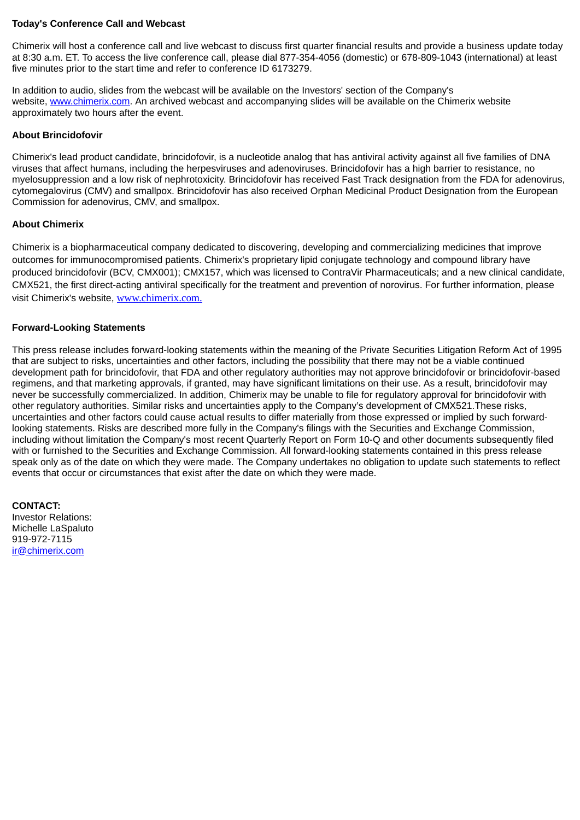# **Today's Conference Call and Webcast**

Chimerix will host a conference call and live webcast to discuss first quarter financial results and provide a business update today at 8:30 a.m. ET. To access the live conference call, please dial 877-354-4056 (domestic) or 678-809-1043 (international) at least five minutes prior to the start time and refer to conference ID 6173279.

In addition to audio, slides from the webcast will be available on the Investors' section of the Company's website, www.chimerix.com. An archived webcast and accompanying slides will be available on the Chimerix website approximately two hours after the event.

## **About Brincidofovir**

Chimerix's lead product candidate, brincidofovir, is a nucleotide analog that has antiviral activity against all five families of DNA viruses that affect humans, including the herpesviruses and adenoviruses. Brincidofovir has a high barrier to resistance, no myelosuppression and a low risk of nephrotoxicity. Brincidofovir has received Fast Track designation from the FDA for adenovirus, cytomegalovirus (CMV) and smallpox. Brincidofovir has also received Orphan Medicinal Product Designation from the European Commission for adenovirus, CMV, and smallpox.

# **About Chimerix**

Chimerix is a biopharmaceutical company dedicated to discovering, developing and commercializing medicines that improve outcomes for immunocompromised patients. Chimerix's proprietary lipid conjugate technology and compound library have produced brincidofovir (BCV, CMX001); CMX157, which was licensed to ContraVir Pharmaceuticals; and a new clinical candidate, CMX521, the first direct-acting antiviral specifically for the treatment and prevention of norovirus. For further information, please visit Chimerix's website, www.chimerix.com.

# **Forward-Looking Statements**

This press release includes forward-looking statements within the meaning of the Private Securities Litigation Reform Act of 1995 that are subject to risks, uncertainties and other factors, including the possibility that there may not be a viable continued development path for brincidofovir, that FDA and other regulatory authorities may not approve brincidofovir or brincidofovir-based regimens, and that marketing approvals, if granted, may have significant limitations on their use. As a result, brincidofovir may never be successfully commercialized. In addition, Chimerix may be unable to file for regulatory approval for brincidofovir with other regulatory authorities. Similar risks and uncertainties apply to the Company's development of CMX521.These risks, uncertainties and other factors could cause actual results to differ materially from those expressed or implied by such forwardlooking statements. Risks are described more fully in the Company's filings with the Securities and Exchange Commission, including without limitation the Company's most recent Quarterly Report on Form 10-Q and other documents subsequently filed with or furnished to the Securities and Exchange Commission. All forward-looking statements contained in this press release speak only as of the date on which they were made. The Company undertakes no obligation to update such statements to reflect events that occur or circumstances that exist after the date on which they were made.

**CONTACT:** Investor Relations: Michelle LaSpaluto 919-972-7115 ir@chimerix.com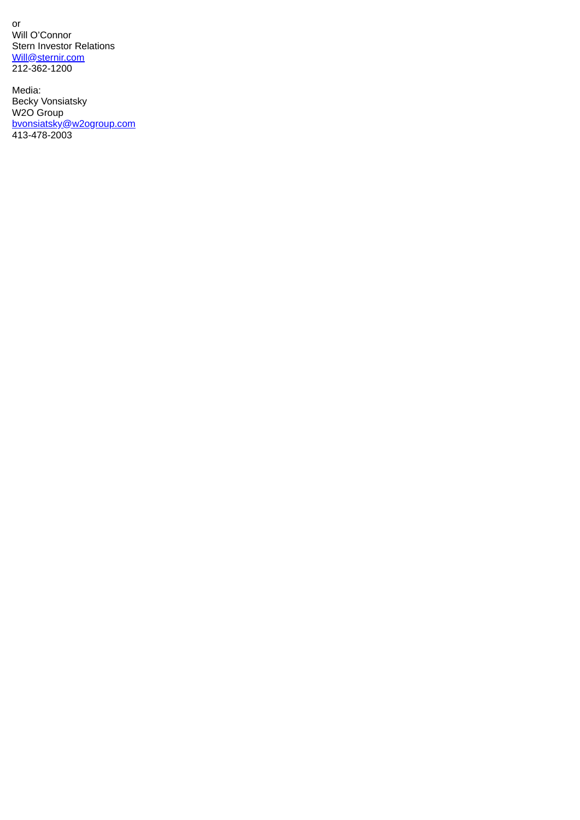or Will O'Connor Stern Investor Relations Will@sternir.com 212-362-1200

Media: Becky Vonsiatsky W2O Group bvonsiatsky@w2ogroup.com 413-478-2003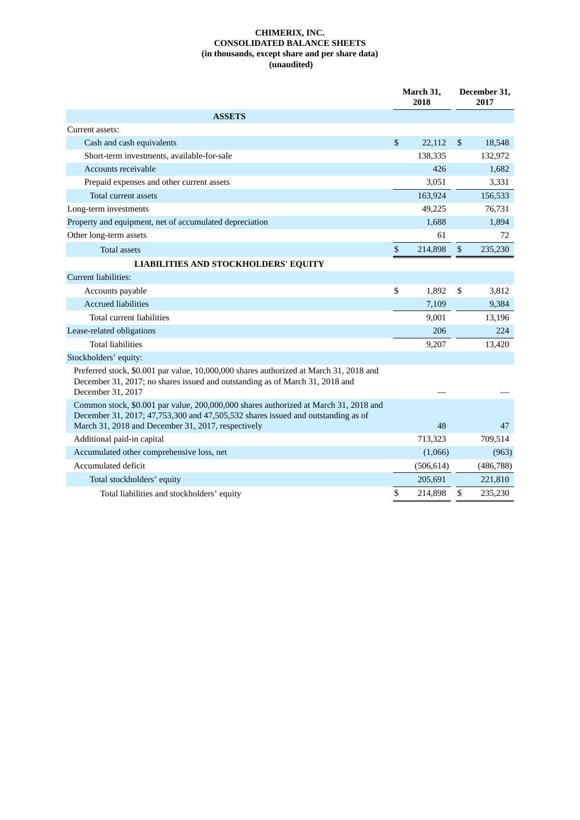### **CHIMERIX, INC. CONSOLIDATED BALANCE SHEETS (in thousands, except share and per share data) (unaudited)**

|                                                                                                                                                                                                                                |                           | March 31,<br>2018 |                | December 31,<br>2017 |  |
|--------------------------------------------------------------------------------------------------------------------------------------------------------------------------------------------------------------------------------|---------------------------|-------------------|----------------|----------------------|--|
| <b>ASSETS</b>                                                                                                                                                                                                                  |                           |                   |                |                      |  |
| Current assets:                                                                                                                                                                                                                |                           |                   |                |                      |  |
| Cash and cash equivalents                                                                                                                                                                                                      | \$                        | 22,112            | $\mathfrak{S}$ | 18,548               |  |
| Short-term investments, available-for-sale                                                                                                                                                                                     |                           | 138,335           |                | 132,972              |  |
| Accounts receivable                                                                                                                                                                                                            |                           | 426               |                | 1,682                |  |
| Prepaid expenses and other current assets                                                                                                                                                                                      |                           | 3,051             |                | 3,331                |  |
| <b>Total current assets</b>                                                                                                                                                                                                    |                           | 163,924           |                | 156,533              |  |
| Long-term investments                                                                                                                                                                                                          |                           | 49,225            |                | 76,731               |  |
| Property and equipment, net of accumulated depreciation                                                                                                                                                                        |                           | 1,688             |                | 1,894                |  |
| Other long-term assets                                                                                                                                                                                                         |                           | 61                |                | 72                   |  |
| <b>Total assets</b>                                                                                                                                                                                                            | $\boldsymbol{\mathsf{S}}$ | 214,898           | \$             | 235,230              |  |
| <b>LIABILITIES AND STOCKHOLDERS' EQUITY</b>                                                                                                                                                                                    |                           |                   |                |                      |  |
| Current liabilities:                                                                                                                                                                                                           |                           |                   |                |                      |  |
| Accounts payable                                                                                                                                                                                                               | \$                        | 1,892             | \$             | 3,812                |  |
| <b>Accrued liabilities</b>                                                                                                                                                                                                     |                           | 7,109             |                | 9,384                |  |
| Total current liabilities                                                                                                                                                                                                      |                           | 9,001             |                | 13,196               |  |
| Lease-related obligations                                                                                                                                                                                                      |                           | 206               |                | 224                  |  |
| <b>Total liabilities</b>                                                                                                                                                                                                       |                           | 9,207             |                | 13,420               |  |
| Stockholders' equity:                                                                                                                                                                                                          |                           |                   |                |                      |  |
| Preferred stock, \$0.001 par value, 10,000,000 shares authorized at March 31, 2018 and<br>December 31, 2017; no shares issued and outstanding as of March 31, 2018 and<br>December 31, 2017                                    |                           |                   |                |                      |  |
| Common stock, \$0.001 par value, 200,000,000 shares authorized at March 31, 2018 and<br>December 31, 2017; 47,753,300 and 47,505,532 shares issued and outstanding as of<br>March 31, 2018 and December 31, 2017, respectively |                           | 48                |                | 47                   |  |
| Additional paid-in capital                                                                                                                                                                                                     |                           | 713,323           |                | 709,514              |  |
| Accumulated other comprehensive loss, net                                                                                                                                                                                      |                           | (1,066)           |                | (963)                |  |
| Accumulated deficit                                                                                                                                                                                                            |                           | (506, 614)        |                | (486, 788)           |  |
| Total stockholders' equity                                                                                                                                                                                                     |                           | 205,691           |                | 221,810              |  |
| Total liabilities and stockholders' equity                                                                                                                                                                                     | \$                        | 214,898           | \$             | 235,230              |  |